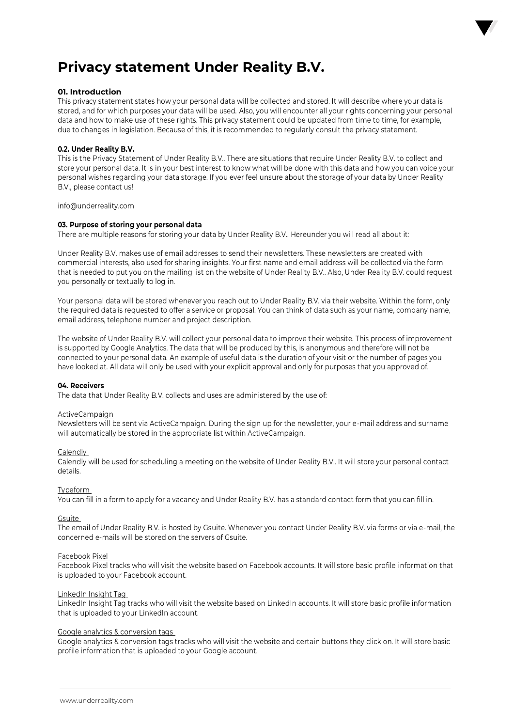

# **01. Introduction**

This privacy statement states how your personal data will be collected and stored. It will describe where your data is stored, and for which purposes your data will be used. Also, you will encounter all your rights concerning your personal data and how to make use of these rights. This privacy statement could be updated from time to time, for example, due to changes in legislation. Because of this, it is recommended to regularly consult the privacy statement.

# **0.2. Under Reality B.V.**

This is the Privacy Statement of Under Reality B.V.. There are situations that require Under Reality B.V. to collect and store your personal data. It is in your best interest to know what will be done with this data and how you can voice your personal wishes regarding your data storage. If you ever feel unsure about the storage of your data by Under Reality B.V., please contact us!

info@underreality.com

### **03. Purpose of storing your personal data**

There are multiple reasons for storing your data by Under Reality B.V.. Hereunder you will read all about it:

Under Reality B.V. makes use of email addresses to send their newsletters. These newsletters are created with commercial interests, also used for sharing insights. Your first name and email address will be collected via the form that is needed to put you on the mailing list on the website of Under Reality B.V.. Also, Under Reality B.V. could request you personally or textually to log in.

Your personal data will be stored whenever you reach out to Under Reality B.V. via their website. Within the form, only the required data is requested to offer a service or proposal. You can think of data such as your name, company name, email address, telephone number and project description.

The website of Under Reality B.V. will collect your personal data to improve their website. This process of improvement is supported by Google Analytics. The data that will be produced by this, is anonymous and therefore will not be connected to your personal data. An example of useful data is the duration of your visit or the number of pages you have looked at. All data will only be used with your explicit approval and only for purposes that you approved of.

### **04. Receivers**

The data that Under Reality B.V. collects and uses are administered by the use of:

### ActiveCampaign

Newsletters will be sent via ActiveCampaign. During the sign up for the newsletter, your e-mail address and surname will automatically be stored in the appropriate list within ActiveCampaign.

### Calendly

Calendly will be used for scheduling a meeting on the website of Under Reality B.V.. It will store your personal contact details.

# Typeform

You can fill in a form to apply for a vacancy and Under Reality B.V. has a standard contact form that you can fill in.

### Gsuite

The email of Under Reality B.V. is hosted by Gsuite. Whenever you contact Under Reality B.V. via forms or via e-mail, the concerned e-mails will be stored on the servers of Gsuite.

### Facebook Pixel

Facebook Pixel tracks who will visit the website based on Facebook accounts. It will store basic profile information that is uploaded to your Facebook account.

### LinkedIn Insight Tag

LinkedIn Insight Tag tracks who will visit the website based on LinkedIn accounts. It will store basic profile information that is uploaded to your LinkedIn account.

### Google analytics & conversion tags

Google analytics & conversion tags tracks who will visit the website and certain buttons they click on. It will store basic profile information that is uploaded to your Google account.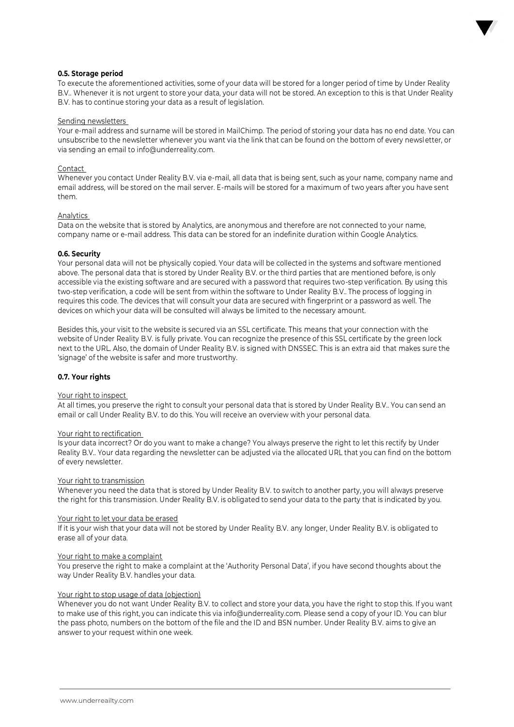

# **0.5. Storage period**

To execute the aforementioned activities, some of your data will be stored for a longer period of time by Under Reality B.V.. Whenever it is not urgent to store your data, your data will not be stored. An exception to this is that Under Reality B.V. has to continue storing your data as a result of legislation.

### Sending newsletters

Your e-mail address and surname will be stored in MailChimp. The period of storing your data has no end date. You can unsubscribe to the newsletter whenever you want via the link that can be found on the bottom of every newsletter, or via sending an email to info@underreality.com.

### **Contact**

Whenever you contact Under Reality B.V. via e-mail, all data that is being sent, such as your name, company name and email address, will be stored on the mail server. E-mails will be stored for a maximum of two years after you have sent them.

### **Analytics**

Data on the website that is stored by Analytics, are anonymous and therefore are not connected to your name, company name or e-mail address. This data can be stored for an indefinite duration within Google Analytics.

### **0.6. Security**

Your personal data will not be physically copied. Your data will be collected in the systems and software mentioned above. The personal data that is stored by Under Reality B.V. or the third parties that are mentioned before, is only accessible via the existing software and are secured with a password that requires two-step verification. By using this two-step verification, a code will be sent from within the software to Under Reality B.V.. The process of logging in requires this code. The devices that will consult your data are secured with fingerprint or a password as well. The devices on which your data will be consulted will always be limited to the necessary amount.

Besides this, your visit to the website is secured via an SSL certificate. This means that your connection with the website of Under Reality B.V. is fully private. You can recognize the presence of this SSL certificate by the green lock next to the URL. Also, the domain of Under Reality B.V. is signed with DNSSEC. This is an extra aid that makes sure the 'signage' of the website is safer and more trustworthy.

# **0.7. Your rights**

### Your right to inspect

At all times, you preserve the right to consult your personal data that is stored by Under Reality B.V.. You can send an email or call Under Reality B.V. to do this. You will receive an overview with your personal data.

### Your right to rectification

Is your data incorrect? Or do you want to make a change? You always preserve the right to let this rectify by Under Reality B.V.. Your data regarding the newsletter can be adjusted via the allocated URL that you can find on the bottom of every newsletter.

### Your right to transmission

Whenever you need the data that is stored by Under Reality B.V. to switch to another party, you will always preserve the right for this transmission. Under Reality B.V. is obligated to send your data to the party that is indicated by you.

### Your right to let your data be erased

If it is your wish that your data will not be stored by Under Reality B.V. any longer, Under Reality B.V. is obligated to erase all of your data.

### Your right to make a complaint

You preserve the right to make a complaint at the 'Authority Personal Data', if you have second thoughts about the way Under Reality B.V. handles your data.

# Your right to stop usage of data (objection)

Whenever you do not want Under Reality B.V. to collect and store your data, you have the right to stop this. If you want to make use of this right, you can indicate this via info@underreality.com. Please send a copy of your ID. You can blur the pass photo, numbers on the bottom of the file and the ID and BSN number. Under Reality B.V. aims to give an answer to your request within one week.